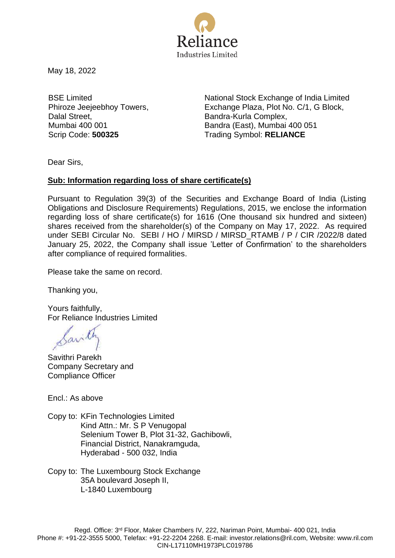

May 18, 2022

BSE Limited Phiroze Jeejeebhoy Towers, Dalal Street, Mumbai 400 001

National Stock Exchange of India Limited Exchange Plaza, Plot No. C/1, G Block, Bandra-Kurla Complex, Bandra (East), Mumbai 400 051 Scrip Code: **500325** Trading Symbol: **RELIANCE**

Dear Sirs,

## **Sub: Information regarding loss of share certificate(s)**

Pursuant to Regulation 39(3) of the Securities and Exchange Board of India (Listing Obligations and Disclosure Requirements) Regulations, 2015, we enclose the information regarding loss of share certificate(s) for 1616 (One thousand six hundred and sixteen) shares received from the shareholder(s) of the Company on May 17, 2022. As required under SEBI Circular No. SEBI / HO / MIRSD / MIRSD\_RTAMB / P / CIR /2022/8 dated January 25, 2022, the Company shall issue 'Letter of Confirmation' to the shareholders after compliance of required formalities.

Please take the same on record.

Thanking you,

Yours faithfully, For Reliance Industries Limited

Sant

Savithri Parekh Company Secretary and Compliance Officer

Encl.: As above

Copy to: KFin Technologies Limited Kind Attn.: Mr. S P Venugopal Selenium Tower B, Plot 31-32, Gachibowli, Financial District, Nanakramguda, Hyderabad - 500 032, India

Copy to: The Luxembourg Stock Exchange 35A boulevard Joseph II, L-1840 Luxembourg